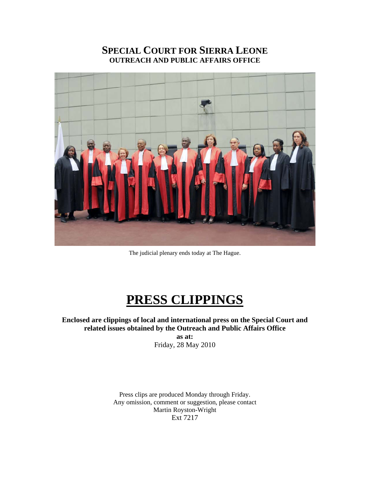# **SPECIAL COURT FOR SIERRA LEONE OUTREACH AND PUBLIC AFFAIRS OFFICE**



The judicial plenary ends today at The Hague.

# **PRESS CLIPPINGS**

**Enclosed are clippings of local and international press on the Special Court and related issues obtained by the Outreach and Public Affairs Office as at:**  Friday, 28 May 2010

> Press clips are produced Monday through Friday. Any omission, comment or suggestion, please contact Martin Royston-Wright Ext 7217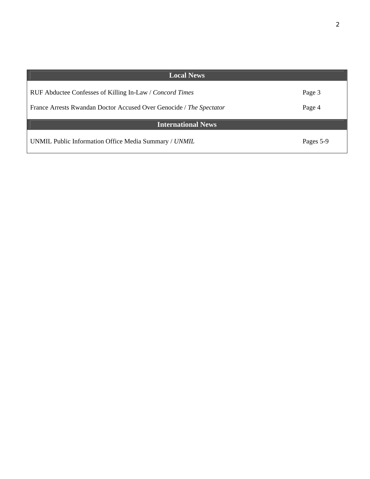| <b>Local News</b>                                                   |           |
|---------------------------------------------------------------------|-----------|
|                                                                     |           |
| RUF Abductee Confesses of Killing In-Law / Concord Times            | Page 3    |
|                                                                     |           |
| France Arrests Rwandan Doctor Accused Over Genocide / The Spectator | Page 4    |
|                                                                     |           |
| <b>International News</b>                                           |           |
| UNMIL Public Information Office Media Summary / UNMIL               | Pages 5-9 |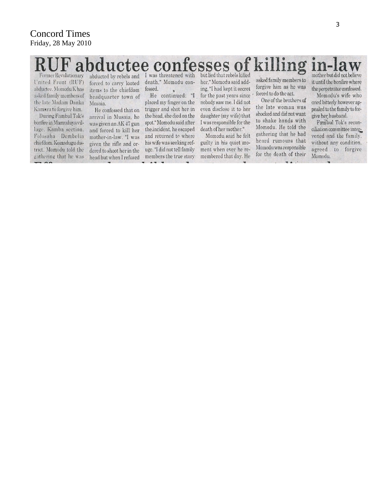#### bductee confesses killing of  $|n-1|$ but lied that rebels killed Former Revolutionary

United Front (RUF) abductee. Momodu K has asked family members of the late Madam Danka Kamara to forgive him.

During Fambul Tok's bonfire in Mamuduya village. Kamba section, Folosaba Dembelia chiefdom. Koinadugu district. Momodu told the gathering that he was

abducted by rebels and forced to carry looted items to the chiefdom headquarter town of Musaia.

He confessed that on arrival in Musaia, he was given an AK 47 gun and forced to kill her mother-in-law. "I was given the rifle and ordered to shoot her in the head but when I refused members the true story

I was threatened with death," Momodu confessed.

He continued: "I placed my finger on the trigger and shot her in the head, she died on the spot." Momodu said after the incident, he escaped and returned to where his wife was seeking refuge. "I did not tell family  $-10$ 

her," Momodu said adding, "I had kept it secret for the past years since nobody saw me. I did not even disclose it to her daughter (my wife) that I was responsible for the death of her mother."

Momodu said he felt guilty in his quiet moment when ever he remembered that day. He

asked family members to forgive him as he was forced to do the act.

One of the brothers of the late woman was shocked and did not want to shake hands with Momodu. He told the gathering that he had heard rumours that Momodu was responsible for the death of their

 $\overline{u}$   $\overline{u}$ .

mother but did not believe it until the bonfire where the perpetrator confessed Momodu's wife who

cried bitterly however appealed to the family to forgive her husband.

Fambul Tok's reconciliation committee intervened and the family. without any condition, agreed to forgive Momodu.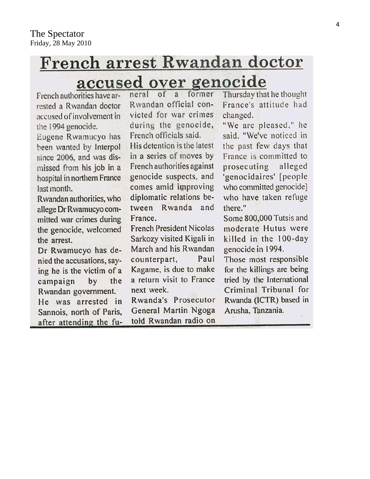# French arrest Rwandan doctor accused over genocide

French authorities have arrested a Rwandan doctor accused of involvement in the 1994 genocide.

Eugene Rwamucyo has been wanted by Interpol since 2006, and was dismissed from his job in a hospital in northern France last month.

Rwandan authorities, who allege Dr Rwamucyo committed war crimes during the genocide, welcomed the arrest.

Dr Rwamucyo has denied the accusations, saying he is the victim of a by the campaign Rwandan government. He was arrested in Sannois, north of Paris, after attending the funeral of a former Rwandan official convicted for war crimes during the genocide, French officials said. His detention is the latest in a series of moves by French authorities against genocide suspects, and comes amid improving diplomatic relations between Rwanda and France.

**French President Nicolas** Sarkozy visited Kigali in March and his Rwandan counterpart, Paul Kagame, is due to make a return visit to France next week.

Rwanda's Prosecutor General Martin Ngoga told Rwandan radio on Thursday that he thought France's attitude had changed.

"We are pleased," he said. "We've noticed in the past few days that France is committed to prosecuting alleged 'genocidaires' [people who committed genocide who have taken refuge there."

Some 800,000 Tutsis and moderate Hutus were killed in the 100-day genocide in 1994.

Those most responsible for the killings are being tried by the International Criminal Tribunal for Rwanda (ICTR) based in Arusha, Tanzania.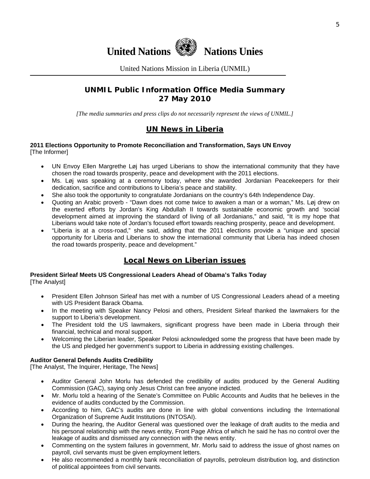

United Nations Mission in Liberia (UNMIL)

## **UNMIL Public Information Office Media Summary 27 May 2010**

*[The media summaries and press clips do not necessarily represent the views of UNMIL.]* 

# **UN News in Liberia**

#### **2011 Elections Opportunity to Promote Reconciliation and Transformation, Says UN Envoy**  [The Informer]

- UN Envoy Ellen Margrethe Løj has urged Liberians to show the international community that they have chosen the road towards prosperity, peace and development with the 2011 elections.
- Ms. Løj was speaking at a ceremony today, where she awarded Jordanian Peacekeepers for their dedication, sacrifice and contributions to Liberia's peace and stability.
- She also took the opportunity to congratulate Jordanians on the country's 64th Independence Day.
- Quoting an Arabic proverb "Dawn does not come twice to awaken a man or a woman," Ms. Løj drew on the exerted efforts by Jordan's King Abdullah II towards sustainable economic growth and 'social development aimed at improving the standard of living of all Jordanians," and said, "It is my hope that Liberians would take note of Jordan's focused effort towards reaching prosperity, peace and development.
- "Liberia is at a cross-road," she said, adding that the 2011 elections provide a "unique and special opportunity for Liberia and Liberians to show the international community that Liberia has indeed chosen the road towards prosperity, peace and development."

# **Local News on Liberian issues**

#### **President Sirleaf Meets US Congressional Leaders Ahead of Obama's Talks Today**  [The Analyst]

- President Ellen Johnson Sirleaf has met with a number of US Congressional Leaders ahead of a meeting with US President Barack Obama.
- In the meeting with Speaker Nancy Pelosi and others, President Sirleaf thanked the lawmakers for the support to Liberia's development.
- The President told the US lawmakers, significant progress have been made in Liberia through their financial, technical and moral support.
- Welcoming the Liberian leader, Speaker Pelosi acknowledged some the progress that have been made by the US and pledged her government's support to Liberia in addressing existing challenges.

### **Auditor General Defends Audits Credibility**

[The Analyst, The Inquirer, Heritage, The News]

- Auditor General John Morlu has defended the credibility of audits produced by the General Auditing Commission (GAC), saying only Jesus Christ can free anyone indicted.
- Mr. Morlu told a hearing of the Senate's Committee on Public Accounts and Audits that he believes in the evidence of audits conducted by the Commission.
- According to him, GAC's audits are done in line with global conventions including the International Organization of Supreme Audit Institutions (INTOSAI).
- During the hearing, the Auditor General was questioned over the leakage of draft audits to the media and his personal relationship with the news entity, Front Page Africa of which he said he has no control over the leakage of audits and dismissed any connection with the news entity.
- Commenting on the system failures in government, Mr. Morlu said to address the issue of ghost names on payroll, civil servants must be given employment letters.
- He also recommended a monthly bank reconciliation of payrolls, petroleum distribution log, and distinction of political appointees from civil servants.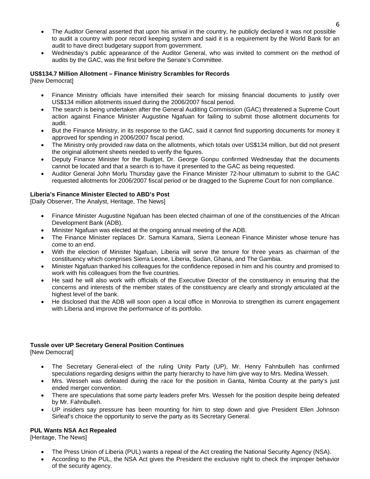- The Auditor General asserted that upon his arrival in the country, he publicly declared it was not possible to audit a country with poor record keeping system and said it is a requirement by the World Bank for an audit to have direct budgetary support from government.
- Wednesday's public appearance of the Auditor General, who was invited to comment on the method of audits by the GAC, was the first before the Senate's Committee.

#### **US\$134.7 Million Allotment – Finance Ministry Scrambles for Records**

[New Democrat]

- Finance Ministry officials have intensified their search for missing financial documents to justify over US\$134 million allotments issued during the 2006/2007 fiscal period.
- The search is being undertaken after the General Auditing Commission (GAC) threatened a Supreme Court action against Finance Minister Augustine Ngafuan for failing to submit those allotment documents for audit.
- But the Finance Ministry, in its response to the GAC, said it cannot find supporting documents for money it approved for spending in 2006/2007 fiscal period.
- The Ministry only provided raw data on the allotments, which totals over US\$134 million, but did not present the original allotment sheets needed to verify the figures.
- Deputy Finance Minister for the Budget, Dr. George Gonpu confirmed Wednesday that the documents cannot be located and that a search is to have it presented to the GAC as being requested.
- Auditor General John Morlu Thursday gave the Finance Minister 72-hour ultimatum to submit to the GAC requested allotments for 2006/2007 fiscal period or be dragged to the Supreme Court for non compliance.

#### **Liberia's Finance Minister Elected to ABD's Post**

[Daily Observer, The Analyst, Heritage, The News]

- Finance Minister Augustine Ngafuan has been elected chairman of one of the constituencies of the African Development Bank (ADB).
- Minister Ngafuan was elected at the ongoing annual meeting of the ADB.
- The Finance Minister replaces Dr. Samura Kamara, Sierra Leonean Finance Minister whose tenure has come to an end.
- With the election of Minister Ngafuan, Liberia will serve the tenure for three years as chairman of the constituency which comprises Sierra Leone, Liberia, Sudan, Ghana, and The Gambia.
- Minister Ngafuan thanked his colleagues for the confidence reposed in him and his country and promised to work with his colleagues from the five countries.
- He said he will also work with officials of the Executive Director of the constituency in ensuring that the concerns and interests of the member states of the constituency are clearly and strongly articulated at the highest level of the bank.
- He disclosed that the ADB will soon open a local office in Monrovia to strengthen its current engagement with Liberia and improve the performance of its portfolio.

#### **Tussle over UP Secretary General Position Continues**

[New Democrat]

- The Secretary General-elect of the ruling Unity Party (UP), Mr. Henry Fahnbulleh has confirmed speculations regarding designs within the party hierarchy to have him give way to Mrs. Medina Wesseh.
- Mrs. Wesseh was defeated during the race for the position in Ganta, Nimba County at the party's just ended merger convention.
- There are speculations that some party leaders prefer Mrs. Wesseh for the position despite being defeated by Mr. Fahnbulleh.
- UP insiders say pressure has been mounting for him to step down and give President Ellen Johnson Sirleaf's choice the opportunity to serve the party as its Secretary General.

#### **PUL Wants NSA Act Repealed**

[Heritage, The News]

- The Press Union of Liberia (PUL) wants a repeal of the Act creating the National Security Agency (NSA).
- According to the PUL, the NSA Act gives the President the exclusive right to check the improper behavior of the security agency.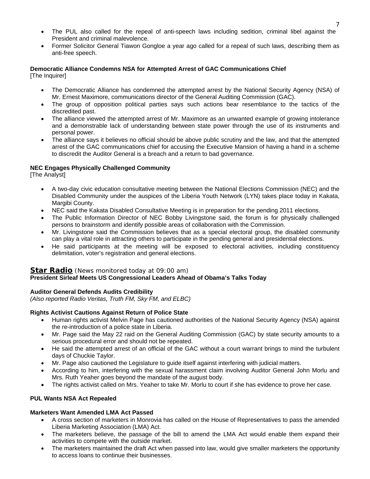- The PUL also called for the repeal of anti-speech laws including sedition, criminal libel against the President and criminal malevolence.
- Former Solicitor General Tiawon Gongloe a year ago called for a repeal of such laws, describing them as anti-free speech.

#### **Democratic Alliance Condemns NSA for Attempted Arrest of GAC Communications Chief**

[The Inquirer]

- The Democratic Alliance has condemned the attempted arrest by the National Security Agency (NSA) of Mr. Ernest Maximore, communications director of the General Auditing Commission (GAC).
- The group of opposition political parties says such actions bear resemblance to the tactics of the discredited past.
- The alliance viewed the attempted arrest of Mr. Maximore as an unwanted example of growing intolerance and a demonstrable lack of understanding between state power through the use of its instruments and personal power.
- The alliance says it believes no official should be above public scrutiny and the law, and that the attempted arrest of the GAC communications chief for accusing the Executive Mansion of having a hand in a scheme to discredit the Auditor General is a breach and a return to bad governance.

#### **NEC Engages Physically Challenged Community**

[The Analyst]

- A two-day civic education consultative meeting between the National Elections Commission (NEC) and the Disabled Community under the auspices of the Liberia Youth Network (LYN) takes place today in Kakata, Margibi County.
- NEC said the Kakata Disabled Consultative Meeting is in preparation for the pending 2011 elections.
- The Public Information Director of NEC Bobby Livingstone said, the forum is for physically challenged persons to brainstorm and identify possible areas of collaboration with the Commission.
- Mr. Livingstone said the Commission believes that as a special electoral group, the disabled community can play a vital role in attracting others to participate in the pending general and presidential elections.
- He said participants at the meeting will be exposed to electoral activities, including constituency delimitation, voter's registration and general elections.

#### **Star Radio** *(News monitored today at 09:00 am)* **President Sirleaf Meets US Congressional Leaders Ahead of Obama's Talks Today**

#### **Auditor General Defends Audits Credibility**

*(Also reported Radio Veritas, Truth FM, Sky FM, and ELBC)*

#### **Rights Activist Cautions Against Return of Police State**

- Human rights activist Melvin Page has cautioned authorities of the National Security Agency (NSA) against the re-introduction of a police state in Liberia.
- Mr. Page said the May 22 raid on the General Auditing Commission (GAC) by state security amounts to a serious procedural error and should not be repeated.
- He said the attempted arrest of an official of the GAC without a court warrant brings to mind the turbulent days of Chuckie Taylor.
- Mr. Page also cautioned the Legislature to guide itself against interfering with judicial matters.
- According to him, interfering with the sexual harassment claim involving Auditor General John Morlu and Mrs. Ruth Yeaher goes beyond the mandate of the august body.
- The rights activist called on Mrs. Yeaher to take Mr. Morlu to court if she has evidence to prove her case.

#### **PUL Wants NSA Act Repealed**

#### **Marketers Want Amended LMA Act Passed**

- A cross section of marketers in Monrovia has called on the House of Representatives to pass the amended Liberia Marketing Association (LMA) Act.
- The marketers believe, the passage of the bill to amend the LMA Act would enable them expand their activities to compete with the outside market.
- The marketers maintained the draft Act when passed into law, would give smaller marketers the opportunity to access loans to continue their businesses.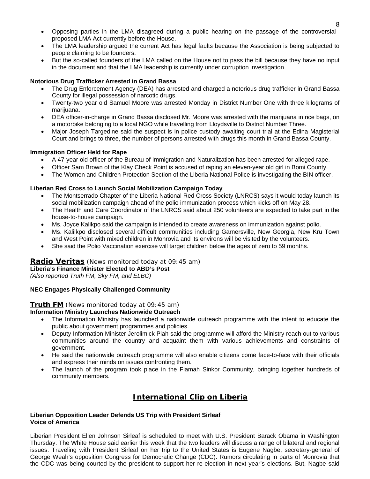- Opposing parties in the LMA disagreed during a public hearing on the passage of the controversial proposed LMA Act currently before the House.
- The LMA leadership argued the current Act has legal faults because the Association is being subjected to people claiming to be founders.
- But the so-called founders of the LMA called on the House not to pass the bill because they have no input in the document and that the LMA leadership is currently under corruption investigation.

#### **Notorious Drug Trafficker Arrested in Grand Bassa**

- The Drug Enforcement Agency (DEA) has arrested and charged a notorious drug trafficker in Grand Bassa County for illegal possession of narcotic drugs.
- Twenty-two year old Samuel Moore was arrested Monday in District Number One with three kilograms of marijuana.
- DEA officer-in-charge in Grand Bassa disclosed Mr. Moore was arrested with the marijuana in rice bags, on a motorbike belonging to a local NGO while travelling from Lloydsville to District Number Three.
- Major Joseph Targedine said the suspect is in police custody awaiting court trial at the Edina Magisterial Court and brings to three, the number of persons arrested with drugs this month in Grand Bassa County.

#### **Immigration Officer Held for Rape**

- A 47-year old officer of the Bureau of Immigration and Naturalization has been arrested for alleged rape.
- Officer Sam Brown of the Klay Check Point is accused of raping an eleven-year old girl in Bomi County.
- The Women and Children Protection Section of the Liberia National Police is investigating the BIN officer.

#### **Liberian Red Cross to Launch Social Mobilization Campaign Today**

- The Montserrado Chapter of the Liberia National Red Cross Society (LNRCS) says it would today launch its social mobilization campaign ahead of the polio immunization process which kicks off on May 28.
- The Health and Care Coordinator of the LNRCS said about 250 volunteers are expected to take part in the house-to-house campaign.
- Ms. Joyce Kalikpo said the campaign is intended to create awareness on immunization against polio.
- Ms. Kalilkpo disclosed several difficult communities including Garnersville, New Georgia, New Kru Town and West Point with mixed children in Monrovia and its environs will be visited by the volunteers.
- She said the Polio Vaccination exercise will target children below the ages of zero to 59 months.

#### **Radio Veritas** *(News monitored today at 09:45 am)*

**Liberia's Finance Minister Elected to ABD's Post** 

*(Also reported Truth FM, Sky FM, and ELBC)*

#### **NEC Engages Physically Challenged Community**

#### **Truth FM** *(News monitored today at 09:45 am)*

#### **Information Ministry Launches Nationwide Outreach**

- The Information Ministry has launched a nationwide outreach programme with the intent to educate the public about government programmes and policies.
- Deputy Information Minister Jerolimick Piah said the programme will afford the Ministry reach out to various communities around the country and acquaint them with various achievements and constraints of government.
- He said the nationwide outreach programme will also enable citizens come face-to-face with their officials and express their minds on issues confronting them.
- The launch of the program took place in the Fiamah Sinkor Community, bringing together hundreds of community members.

# **International Clip on Liberia**

#### **Liberian Opposition Leader Defends US Trip with President Sirleaf Voice of America**

Liberian President Ellen Johnson Sirleaf is scheduled to meet with U.S. President Barack Obama in Washington Thursday. The White House said earlier this week that the two leaders will discuss a range of bilateral and regional issues. Traveling with President Sirleaf on her trip to the United States is Eugene Nagbe, secretary-general of George Weah's opposition Congress for Democratic Change (CDC). Rumors circulating in parts of Monrovia that the CDC was being courted by the president to support her re-election in next year's elections. But, Nagbe said